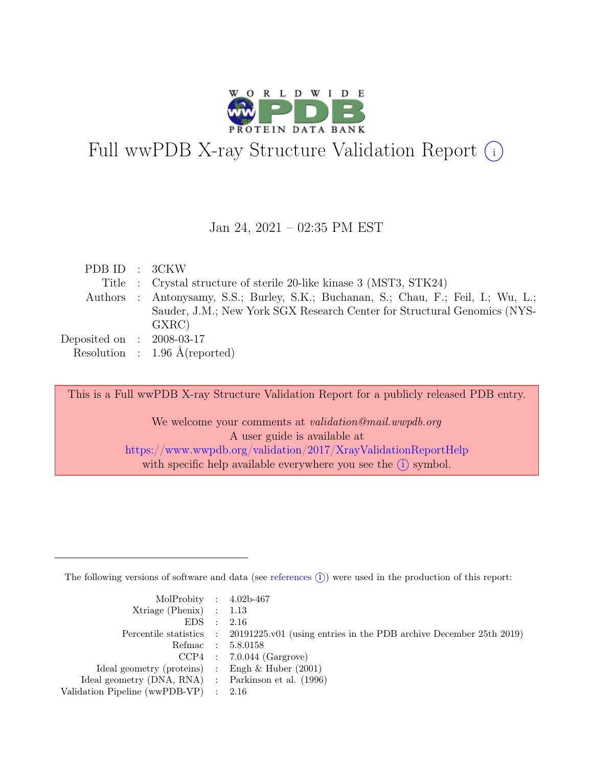

# Full wwPDB X-ray Structure Validation Report  $(i)$

#### Jan 24, 2021 – 02:35 PM EST

| PDB ID : 3CKW               |                                                                                     |
|-----------------------------|-------------------------------------------------------------------------------------|
|                             | Title : Crystal structure of sterile 20-like kinase 3 (MST3, STK24)                 |
|                             | Authors : Antonysamy, S.S.; Burley, S.K.; Buchanan, S.; Chau, F.; Feil, I.; Wu, L.; |
|                             | Sauder, J.M.; New York SGX Research Center for Structural Genomics (NYS-            |
|                             | GXRC)                                                                               |
| Deposited on : $2008-03-17$ |                                                                                     |
|                             | Resolution : $1.96 \text{ Å}$ (reported)                                            |

This is a Full wwPDB X-ray Structure Validation Report for a publicly released PDB entry.

We welcome your comments at validation@mail.wwpdb.org A user guide is available at <https://www.wwpdb.org/validation/2017/XrayValidationReportHelp> with specific help available everywhere you see the  $(i)$  symbol.

The following versions of software and data (see [references](https://www.wwpdb.org/validation/2017/XrayValidationReportHelp#references)  $(i)$ ) were used in the production of this report:

| MolProbity : $4.02b-467$                            |                                                                                            |
|-----------------------------------------------------|--------------------------------------------------------------------------------------------|
| Xtriage (Phenix) $: 1.13$                           |                                                                                            |
| EDS : 2.16                                          |                                                                                            |
|                                                     | Percentile statistics : 20191225.v01 (using entries in the PDB archive December 25th 2019) |
|                                                     | Refmac : 5.8.0158                                                                          |
|                                                     | $CCP4$ : 7.0.044 (Gargrove)                                                                |
| Ideal geometry (proteins) : Engh $\&$ Huber (2001)  |                                                                                            |
| Ideal geometry (DNA, RNA) : Parkinson et al. (1996) |                                                                                            |
| Validation Pipeline (wwPDB-VP) $\therefore$ 2.16    |                                                                                            |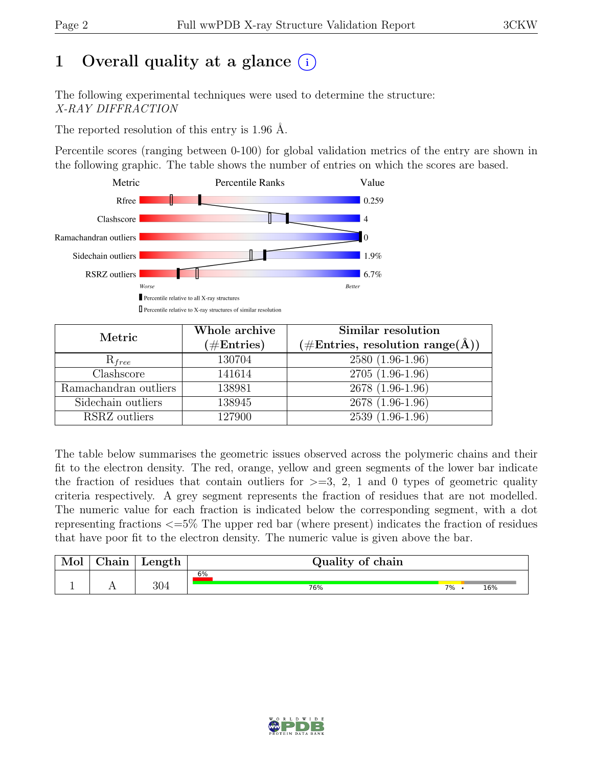# 1 Overall quality at a glance  $(i)$

The following experimental techniques were used to determine the structure: X-RAY DIFFRACTION

The reported resolution of this entry is 1.96 Å.

Percentile scores (ranging between 0-100) for global validation metrics of the entry are shown in the following graphic. The table shows the number of entries on which the scores are based.



| Metric                | Whole archive<br>$(\#Entries)$ | Similar resolution<br>$(\#Entries, resolution range(A))$ |
|-----------------------|--------------------------------|----------------------------------------------------------|
| $R_{free}$            | 130704                         | 2580 (1.96-1.96)                                         |
| Clashscore            | 141614                         | $2705(1.96-1.96)$                                        |
| Ramachandran outliers | 138981                         | $2678(1.96-1.96)$                                        |
| Sidechain outliers    | 138945                         | 2678 (1.96-1.96)                                         |
| RSRZ outliers         | 127900                         | $2539(1.96-1.96)$                                        |

The table below summarises the geometric issues observed across the polymeric chains and their fit to the electron density. The red, orange, yellow and green segments of the lower bar indicate the fraction of residues that contain outliers for  $\geq$ =3, 2, 1 and 0 types of geometric quality criteria respectively. A grey segment represents the fraction of residues that are not modelled. The numeric value for each fraction is indicated below the corresponding segment, with a dot representing fractions <=5% The upper red bar (where present) indicates the fraction of residues that have poor fit to the electron density. The numeric value is given above the bar.

| Mol | hain       | Length | Quality of chain |    |     |
|-----|------------|--------|------------------|----|-----|
|     |            |        | 6%               |    |     |
| ÷   | <b>A A</b> | 304    | 76%              | 7% | 16% |

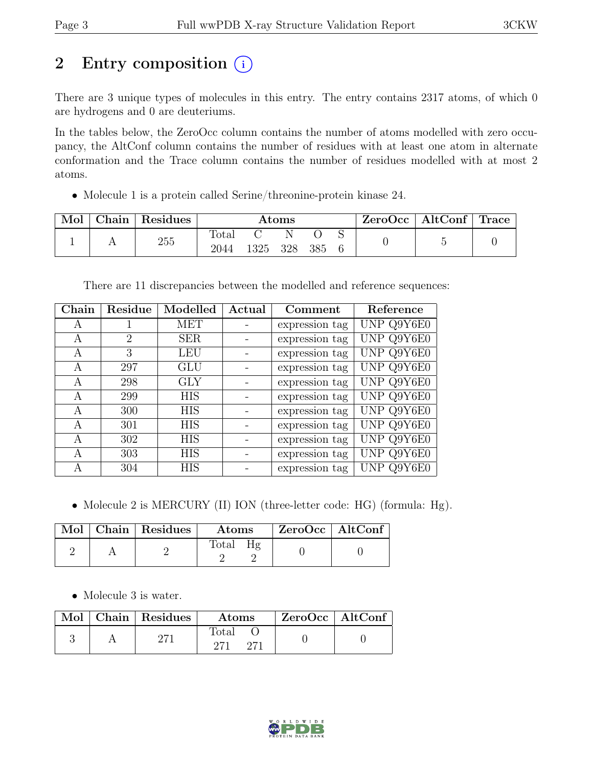# 2 Entry composition  $(i)$

There are 3 unique types of molecules in this entry. The entry contains 2317 atoms, of which 0 are hydrogens and 0 are deuteriums.

In the tables below, the ZeroOcc column contains the number of atoms modelled with zero occupancy, the AltConf column contains the number of residues with at least one atom in alternate conformation and the Trace column contains the number of residues modelled with at most 2 atoms.

• Molecule 1 is a protein called Serine/threonine-protein kinase 24.

| Mol | Chain   Residues | $\rm{Atoms}$  |      |     | $ZeroOcc \mid AltConf \mid Trace$ |  |  |  |
|-----|------------------|---------------|------|-----|-----------------------------------|--|--|--|
|     | 255              | Total<br>2044 | 1325 | 328 | 385                               |  |  |  |

There are 11 discrepancies between the modelled and reference sequences:

| Chain | Residue | Modelled   | Actual | Comment        | Reference  |
|-------|---------|------------|--------|----------------|------------|
| A     |         | MET        |        | expression tag | UNP Q9Y6E0 |
| A     | 2       | <b>SER</b> |        | expression tag | UNP Q9Y6E0 |
| А     | 3       | <b>LEU</b> |        | expression tag | UNP Q9Y6E0 |
| A     | 297     | GLU        |        | expression tag | UNP Q9Y6E0 |
| A     | 298     | <b>GLY</b> |        | expression tag | UNP Q9Y6E0 |
| A     | 299     | <b>HIS</b> |        | expression tag | UNP Q9Y6E0 |
| A     | 300     | <b>HIS</b> |        | expression tag | UNP Q9Y6E0 |
| А     | 301     | <b>HIS</b> |        | expression tag | UNP Q9Y6E0 |
| A     | 302     | <b>HIS</b> |        | expression tag | UNP Q9Y6E0 |
| А     | 303     | <b>HIS</b> |        | expression tag | UNP Q9Y6E0 |
| А     | 304     | HIS        |        | expression tag | UNP Q9Y6E0 |

• Molecule 2 is MERCURY (II) ION (three-letter code: HG) (formula: Hg).

|  | Mol   Chain   Residues | Atoms | $\rm ZeroOcc$   AltConf |
|--|------------------------|-------|-------------------------|
|  |                        | Total |                         |

• Molecule 3 is water.

|  | Mol   Chain   Residues | Atoms        | ZeroOcc   AltConf |  |
|--|------------------------|--------------|-------------------|--|
|  |                        | Total<br>271 |                   |  |

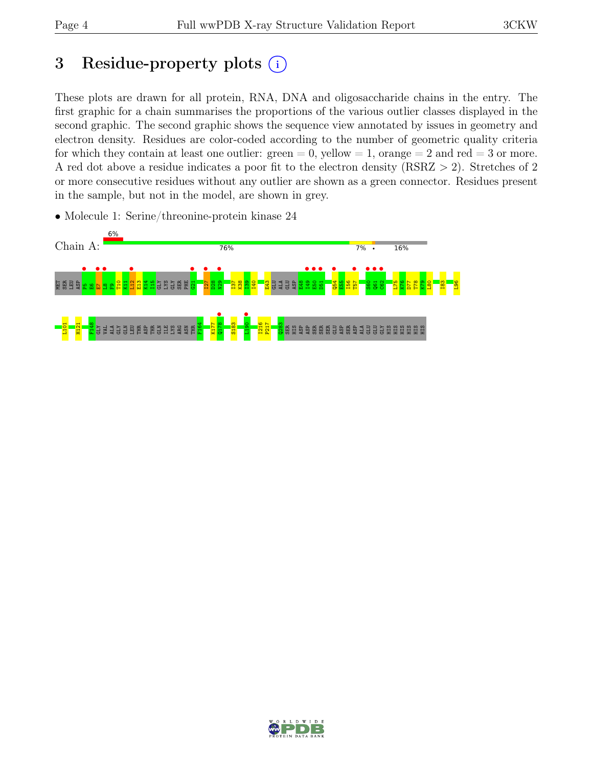# 3 Residue-property plots  $(i)$

These plots are drawn for all protein, RNA, DNA and oligosaccharide chains in the entry. The first graphic for a chain summarises the proportions of the various outlier classes displayed in the second graphic. The second graphic shows the sequence view annotated by issues in geometry and electron density. Residues are color-coded according to the number of geometric quality criteria for which they contain at least one outlier:  $green = 0$ , yellow  $= 1$ , orange  $= 2$  and red  $= 3$  or more. A red dot above a residue indicates a poor fit to the electron density (RSRZ > 2). Stretches of 2 or more consecutive residues without any outlier are shown as a green connector. Residues present in the sample, but not in the model, are shown in grey.

• Molecule 1: Serine/threonine-protein kinase 24



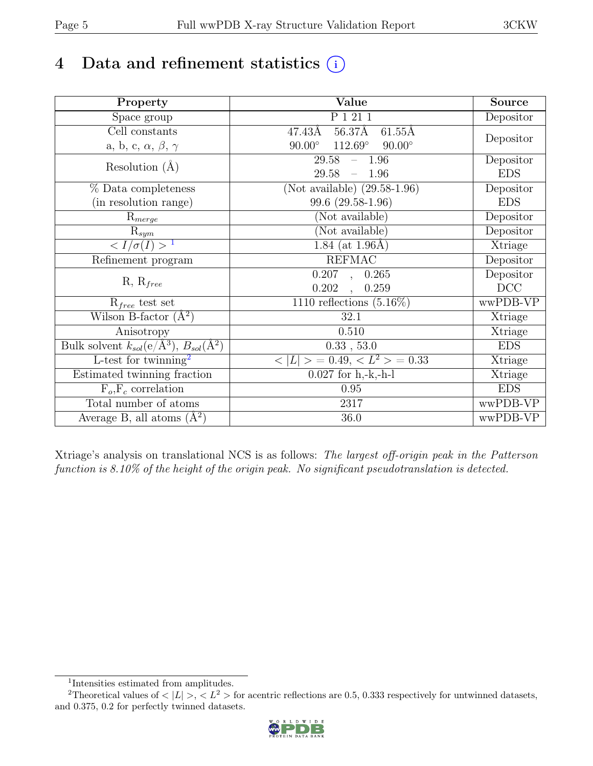# 4 Data and refinement statistics  $(i)$

| Property                                                             | Value                                                    | <b>Source</b> |
|----------------------------------------------------------------------|----------------------------------------------------------|---------------|
| Space group                                                          | P 1 21 1                                                 | Depositor     |
| Cell constants                                                       | $56.37\text{\AA}$<br>47.43Å<br>$61.55\text{\AA}$         |               |
| a, b, c, $\alpha$ , $\beta$ , $\gamma$                               | $112.69^{\circ}$<br>$90.00^\circ$<br>$90.00^\circ$       | Depositor     |
| Resolution $(A)$                                                     | $-1.96$<br>29.58                                         | Depositor     |
|                                                                      | 29.58<br>$-1.96$                                         | <b>EDS</b>    |
| % Data completeness                                                  | (Not available) $(29.58-1.96)$                           | Depositor     |
| (in resolution range)                                                | 99.6 (29.58-1.96)                                        | <b>EDS</b>    |
| $R_{merge}$                                                          | (Not available)                                          | Depositor     |
| $\mathrm{R}_{sym}$                                                   | (Not available)                                          | Depositor     |
| $\langle I/\sigma(I) \rangle$ <sup>1</sup>                           | 1.84 (at $1.96\text{\AA}$ )                              | Xtriage       |
| Refinement program                                                   | <b>REFMAC</b>                                            | Depositor     |
|                                                                      | 0.207,<br>0.265                                          | Depositor     |
| $R, R_{free}$                                                        | 0.202<br>0.259<br>$\overline{\phantom{a}}$               | DCC           |
| $R_{free}$ test set                                                  | 1110 reflections $(5.16\%)$                              | wwPDB-VP      |
| Wilson B-factor $(A^2)$                                              | 32.1                                                     | Xtriage       |
| Anisotropy                                                           | 0.510                                                    | Xtriage       |
| Bulk solvent $k_{sol}(e/\mathring{A}^3)$ , $B_{sol}(\mathring{A}^2)$ | 0.33, 53.0                                               | <b>EDS</b>    |
| L-test for twinning <sup>2</sup>                                     | $\langle  L  \rangle = 0.49, \langle L^2 \rangle = 0.33$ | Xtriage       |
| Estimated twinning fraction                                          | $\overline{0.027}$ for h,-k,-h-l                         | Xtriage       |
| $F_o, F_c$ correlation                                               | 0.95                                                     | <b>EDS</b>    |
| Total number of atoms                                                | 2317                                                     | wwPDB-VP      |
| Average B, all atoms $(A^2)$                                         | 36.0                                                     | wwPDB-VP      |

Xtriage's analysis on translational NCS is as follows: The largest off-origin peak in the Patterson function is 8.10% of the height of the origin peak. No significant pseudotranslation is detected.

<sup>&</sup>lt;sup>2</sup>Theoretical values of  $\langle |L| \rangle$ ,  $\langle L^2 \rangle$  for acentric reflections are 0.5, 0.333 respectively for untwinned datasets, and 0.375, 0.2 for perfectly twinned datasets.



<span id="page-4-1"></span><span id="page-4-0"></span><sup>1</sup> Intensities estimated from amplitudes.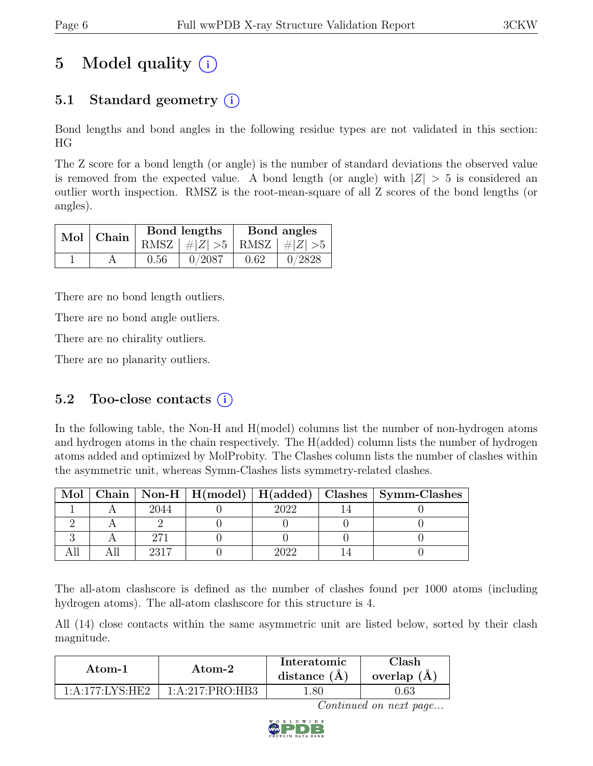# 5 Model quality  $(i)$

## 5.1 Standard geometry  $(i)$

Bond lengths and bond angles in the following residue types are not validated in this section: HG

The Z score for a bond length (or angle) is the number of standard deviations the observed value is removed from the expected value. A bond length (or angle) with  $|Z| > 5$  is considered an outlier worth inspection. RMSZ is the root-mean-square of all Z scores of the bond lengths (or angles).

|  | Mol Chain |      | Bond lengths                    | Bond angles |        |  |
|--|-----------|------|---------------------------------|-------------|--------|--|
|  |           |      | RMSZ $ #Z  > 5$ RMSZ $ #Z  > 5$ |             |        |  |
|  |           | 0.56 | 0/2087                          | 0.62        | 0/2828 |  |

There are no bond length outliers.

There are no bond angle outliers.

There are no chirality outliers.

There are no planarity outliers.

### 5.2 Too-close contacts  $(i)$

In the following table, the Non-H and H(model) columns list the number of non-hydrogen atoms and hydrogen atoms in the chain respectively. The H(added) column lists the number of hydrogen atoms added and optimized by MolProbity. The Clashes column lists the number of clashes within the asymmetric unit, whereas Symm-Clashes lists symmetry-related clashes.

| Mol |      |      | Chain   Non-H   H(model)   H(added)   Clashes   Symm-Clashes |
|-----|------|------|--------------------------------------------------------------|
|     | 2044 | າ∩າາ |                                                              |
|     |      |      |                                                              |
|     |      |      |                                                              |
|     | 9217 |      |                                                              |

The all-atom clashscore is defined as the number of clashes found per 1000 atoms (including hydrogen atoms). The all-atom clashscore for this structure is 4.

All (14) close contacts within the same asymmetric unit are listed below, sorted by their clash magnitude.

| Atom-1             |                 | Interatomic    | `lash       |
|--------------------|-----------------|----------------|-------------|
| Atom-2             |                 | distance $(A)$ | overlap (A) |
| $1:$ A:177:LYS·HE2 | 1:A:217:PRO:HB3 |                | .63         |

Continued on next page...

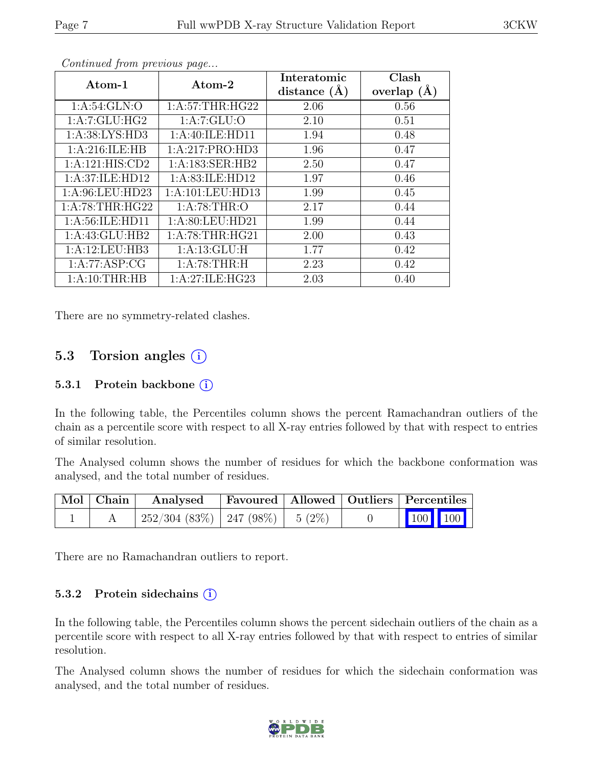| Atom-1             | Atom-2               | Interatomic      | Clash         |
|--------------------|----------------------|------------------|---------------|
|                    |                      | distance $(\AA)$ | overlap $(A)$ |
| 1: A:54: GLN:O     | 1: A:57:THR:HG22     | 2.06             | 0.56          |
| 1:A:7:GLU:HG2      | 1:A:7:GLU:O          | 2.10             | 0.51          |
| 1: A:38: LYS: HD3  | 1:A:40:ILE:HD11      | 1.94             | 0.48          |
| 1: A:216: ILE: HB  | 1:A:217:PRO:HD3      | 1.96             | 0.47          |
| 1:A:121:HIS:CD2    | 1: A: 183: SER: HB2  | 2.50             | 0.47          |
| 1:A:37:ILE:HD12    | 1:A:83:ILE:HD12      | 1.97             | 0.46          |
| 1:A:96:LEU:HD23    | 1: A: 101: LEU: HD13 | 1.99             | 0.45          |
| 1:A:78:THR:HG22    | 1: A:78:THR:O        | 2.17             | 0.44          |
| 1: A:56: ILE: HD11 | 1: A:80: LEU:HD21    | 1.99             | 0.44          |
| 1:A:43:GLU:HB2     | 1: A:78:THR:HG21     | 2.00             | 0.43          |
| 1:A:12:LEU:HB3     | 1: A: 13: GLU: H     | 1.77             | 0.42          |
| 1:A:77:ASP:CG      | 1: A:78:THR:H        | 2.23             | 0.42          |
| 1: A:10:THR:HB     | 1:A:27:ILE:HG23      | 2.03             | 0.40          |

Continued from previous page...

There are no symmetry-related clashes.

### 5.3 Torsion angles  $(i)$

#### 5.3.1 Protein backbone (i)

In the following table, the Percentiles column shows the percent Ramachandran outliers of the chain as a percentile score with respect to all X-ray entries followed by that with respect to entries of similar resolution.

The Analysed column shows the number of residues for which the backbone conformation was analysed, and the total number of residues.

| $\mid$ Mol $\mid$ Chain $\mid$ | Analysed                                | Favoured   Allowed   Outliers   Percentiles |  |                                                              |  |
|--------------------------------|-----------------------------------------|---------------------------------------------|--|--------------------------------------------------------------|--|
|                                | $252/304$ (83\%)   247 (98\%)   5 (2\%) |                                             |  | $\begin{array}{ c c c c c }\n\hline\n100 & 100\n\end{array}$ |  |

There are no Ramachandran outliers to report.

#### 5.3.2 Protein sidechains  $(i)$

In the following table, the Percentiles column shows the percent sidechain outliers of the chain as a percentile score with respect to all X-ray entries followed by that with respect to entries of similar resolution.

The Analysed column shows the number of residues for which the sidechain conformation was analysed, and the total number of residues.

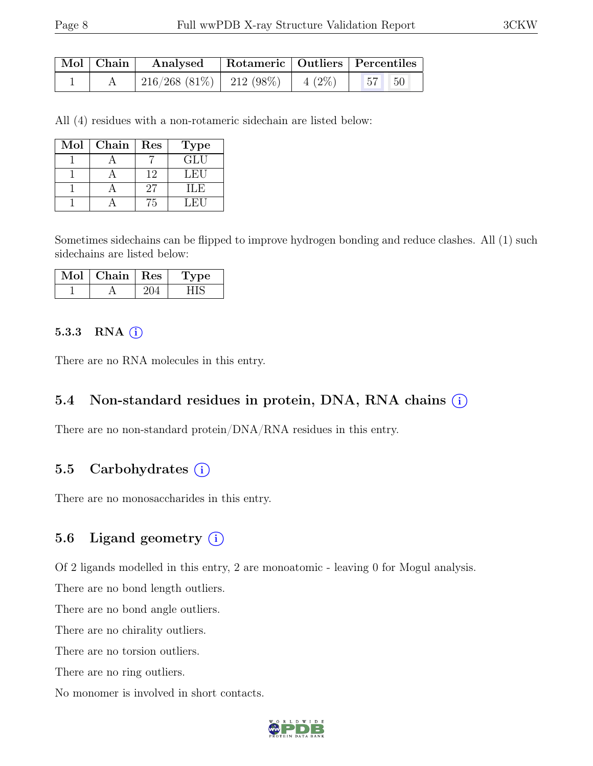| $\mid$ Mol $\mid$ Chain $\mid$ | Analysed Rotameric   Outliers   Percentiles                      |  |  |  |
|--------------------------------|------------------------------------------------------------------|--|--|--|
|                                | $\mid$ 216/268 (81%) $\mid$ 212 (98%) $\mid$ 4 (2%) $\mid$ 57 50 |  |  |  |

All (4) residues with a non-rotameric sidechain are listed below:

| Mol | Chain | Res | <b>Type</b> |
|-----|-------|-----|-------------|
|     |       |     | GLU         |
|     |       | 12  | LEU         |
|     |       | 27  | ILE         |
|     |       | 'n  | L FI 1      |

Sometimes sidechains can be flipped to improve hydrogen bonding and reduce clashes. All (1) such sidechains are listed below:

| Mol | Chain   Res | Type |
|-----|-------------|------|
|     |             |      |

#### 5.3.3 RNA  $(i)$

There are no RNA molecules in this entry.

#### 5.4 Non-standard residues in protein, DNA, RNA chains (i)

There are no non-standard protein/DNA/RNA residues in this entry.

#### 5.5 Carbohydrates  $(i)$

There are no monosaccharides in this entry.

#### 5.6 Ligand geometry  $(i)$

Of 2 ligands modelled in this entry, 2 are monoatomic - leaving 0 for Mogul analysis.

There are no bond length outliers.

There are no bond angle outliers.

There are no chirality outliers.

There are no torsion outliers.

There are no ring outliers.

No monomer is involved in short contacts.

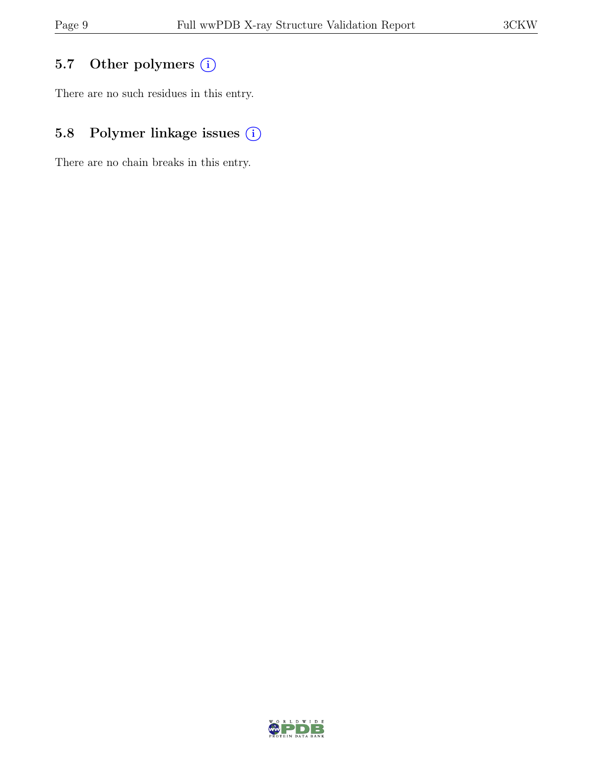## 5.7 Other polymers (i)

There are no such residues in this entry.

## 5.8 Polymer linkage issues  $(i)$

There are no chain breaks in this entry.

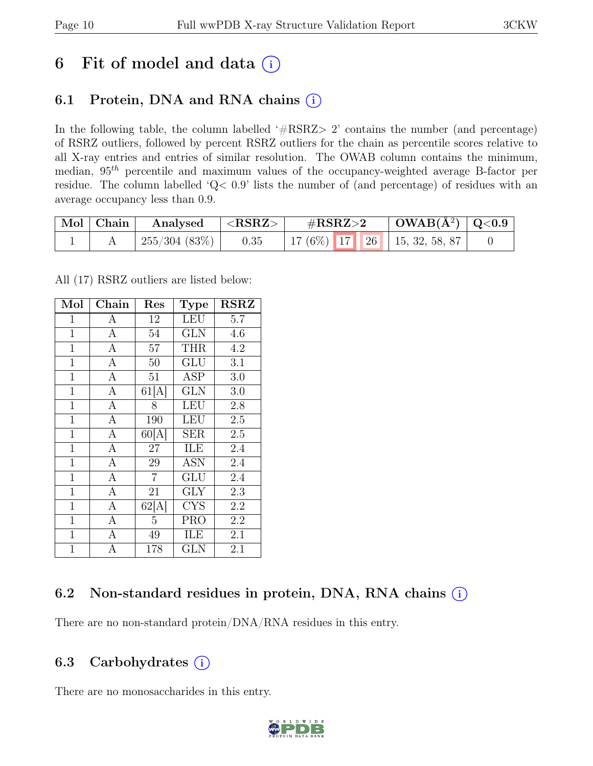# 6 Fit of model and data  $(i)$

### 6.1 Protein, DNA and RNA chains  $(i)$

In the following table, the column labelled ' $\#\text{RSRZ}>2$ ' contains the number (and percentage) of RSRZ outliers, followed by percent RSRZ outliers for the chain as percentile scores relative to all X-ray entries and entries of similar resolution. The OWAB column contains the minimum, median,  $95<sup>th</sup>$  percentile and maximum values of the occupancy-weighted average B-factor per residue. The column labelled 'Q< 0.9' lists the number of (and percentage) of residues with an average occupancy less than 0.9.

| Mol Chain | Analysed      | ${ <\hspace{-1.5pt} {\rm RSRZ}\hspace{-1.5pt}>}$ | $\rm \#RSRZ{>}2$                   | $\vert$ OWAB( $\rm \AA^2) \vert$ Q<0.9 |  |
|-----------|---------------|--------------------------------------------------|------------------------------------|----------------------------------------|--|
|           | 1255/304(83%) | 0.35                                             | 17 (6%)   17   26   15, 32, 58, 87 |                                        |  |

All (17) RSRZ outliers are listed below:

| Mol            | Chain            | Res            | <b>Type</b> | $_{\rm RSRZ}$    |
|----------------|------------------|----------------|-------------|------------------|
| 1              | А                | 12             | LEU         | 5.7              |
| $\mathbf 1$    | $\mathbf{A}$     | 54             | GLN         | 4.6              |
| $\mathbf 1$    | $\boldsymbol{A}$ | 57             | <b>THR</b>  | 4.2              |
| $\mathbf{1}$   | $\mathbf{A}$     | 50             | GLU         | 3.1              |
| $\mathbf{1}$   | $\overline{A}$   | 51             | ASP         | 3.0              |
| $\mathbf 1$    | $\mathbf{A}$     | 61[A]          | GLN         | 3.0              |
| $\mathbf{1}$   | $\overline{A}$   | 8              | LEU         | 2.8              |
| $\mathbf{1}$   | $\overline{A}$   | 190            | LEU         | 2.5              |
| $\mathbf{1}$   | $\overline{A}$   | 60[A]          | SER         | 2.5              |
| $\mathbf{1}$   | $\overline{A}$   | 27             | ILE         | 2.4              |
| $\mathbf{1}$   | $\overline{A}$   | 29             | <b>ASN</b>  | 2.4              |
| $\mathbf{1}$   | $\overline{A}$   | $\overline{7}$ | GLU         | 2.4              |
| $\overline{1}$ | $\overline{A}$   | 21             | $\rm GLY$   | 2.3              |
| $\mathbf{1}$   | $\overline{A}$   | 62[A]          | <b>CYS</b>  | 2.2              |
| $\mathbf{1}$   | $\mathbf{A}$     | 5              | PRO         | $\overline{2.2}$ |
| $\overline{1}$ | $\mathbf{A}$     | 49             | ILE         | 2.1              |
| $\mathbf{1}$   | A                | 178            | GLN         | 2.1              |

### 6.2 Non-standard residues in protein, DNA, RNA chains  $(i)$

There are no non-standard protein/DNA/RNA residues in this entry.

### 6.3 Carbohydrates  $(i)$

There are no monosaccharides in this entry.